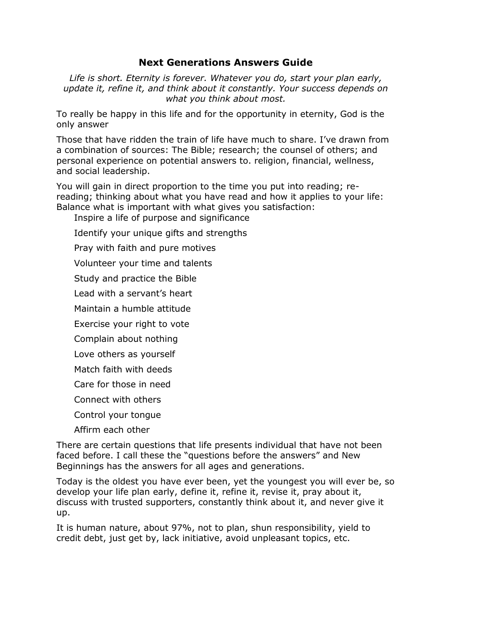## **Next Generations Answers Guide**

*Life is short. Eternity is forever. Whatever you do, start your plan early, update it, refine it, and think about it constantly. Your success depends on what you think about most.*

To really be happy in this life and for the opportunity in eternity, God is the only answer

Those that have ridden the train of life have much to share. I've drawn from a combination of sources: The Bible; research; the counsel of others; and personal experience on potential answers to. religion, financial, wellness, and social leadership.

You will gain in direct proportion to the time you put into reading; rereading; thinking about what you have read and how it applies to your life: Balance what is important with what gives you satisfaction:

Inspire a life of purpose and significance

Identify your unique gifts and strengths

Pray with faith and pure motives

Volunteer your time and talents

Study and practice the Bible

Lead with a servant's heart

Maintain a humble attitude

Exercise your right to vote

Complain about nothing

Love others as yourself

Match faith with deeds

Care for those in need

Connect with others

Control your tongue

Affirm each other

There are certain questions that life presents individual that have not been faced before. I call these the "questions before the answers" and New Beginnings has the answers for all ages and generations.

Today is the oldest you have ever been, yet the youngest you will ever be, so develop your life plan early, define it, refine it, revise it, pray about it, discuss with trusted supporters, constantly think about it, and never give it up.

It is human nature, about 97%, not to plan, shun responsibility, yield to credit debt, just get by, lack initiative, avoid unpleasant topics, etc.